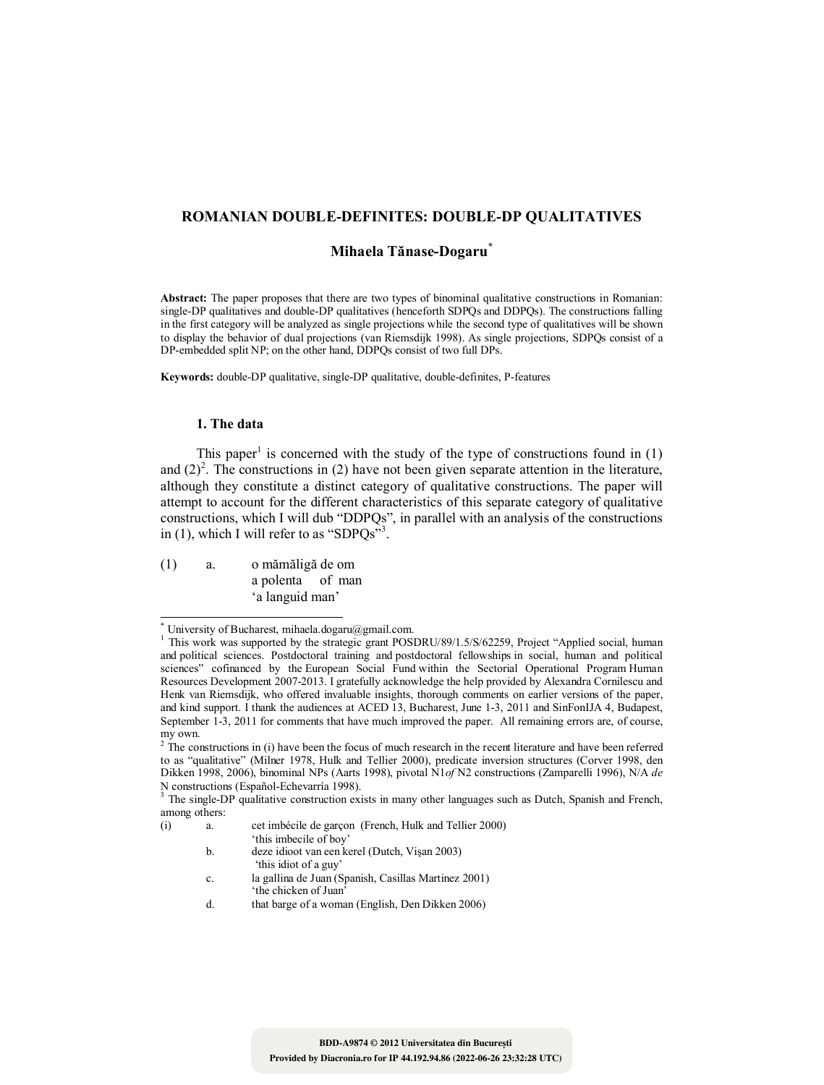# **ROMANIAN DOUBLE-DEFINITES: DOUBLE-DP QUALITATIVES**

# **Mihaela Tănase-Dogaru**\*

**Abstract:** The paper proposes that there are two types of binominal qualitative constructions in Romanian: single-DP qualitatives and double-DP qualitatives (henceforth SDPQs and DDPQs). The constructions falling in the first category will be analyzed as single projections while the second type of qualitatives will be shown to display the behavior of dual projections (van Riemsdijk 1998). As single projections, SDPQs consist of a DP-embedded split NP; on the other hand, DDPQs consist of two full DPs.

**Keywords:** double-DP qualitative, single-DP qualitative, double-definites, P-features

# **1. The data**

 $\overline{\phantom{a}}$ 

This paper<sup>1</sup> is concerned with the study of the type of constructions found in  $(1)$ and  $(2)^2$ . The constructions in (2) have not been given separate attention in the literature, although they constitute a distinct category of qualitative constructions. The paper will attempt to account for the different characteristics of this separate category of qualitative constructions, which I will dub "DDPQs", in parallel with an analysis of the constructions in (1), which I will refer to as "SDPQs"<sup>3</sup>.

(1) a. o mămăligă de om a polenta of man 'a languid man'

- b. deze idioot van een kerel (Dutch, Vişan 2003) 'this idiot of a guy'
- c. la gallina de Juan (Spanish, Casillas Martinez 2001)
	- 'the chicken of Juan'
- d. that barge of a woman (English, Den Dikken 2006)

<sup>\*</sup> University of Bucharest, mihaela.dogaru@gmail.com.

<sup>&</sup>lt;sup>1</sup> This work was supported by the strategic grant POSDRU/89/1.5/S/62259, Project "Applied social, human and political sciences. Postdoctoral training and postdoctoral fellowships in social, human and political sciences" cofinanced by the European Social Fund within the Sectorial Operational Program Human Resources Development 2007-2013. I gratefully acknowledge the help provided by Alexandra Cornilescu and Henk van Riemsdijk, who offered invaluable insights, thorough comments on earlier versions of the paper, and kind support. I thank the audiences at ACED 13, Bucharest, June 1-3, 2011 and SinFonIJA 4, Budapest, September 1-3, 2011 for comments that have much improved the paper. All remaining errors are, of course, my own.

 $2<sup>2</sup>$  The constructions in (i) have been the focus of much research in the recent literature and have been referred to as "qualitative" (Milner 1978, Hulk and Tellier 2000), predicate inversion structures (Corver 1998, den Dikken 1998, 2006), binominal NPs (Aarts 1998), pivotal N1*of* N2 constructions (Zamparelli 1996), N/A *de* N constructions (Español-Echevarría 1998).

<sup>&</sup>lt;sup>3</sup> The single-DP qualitative construction exists in many other languages such as Dutch, Spanish and French, among others:

<sup>(</sup>i) a. cet imbécile de garçon (French, Hulk and Tellier 2000)

<sup>&#</sup>x27;this imbecile of boy'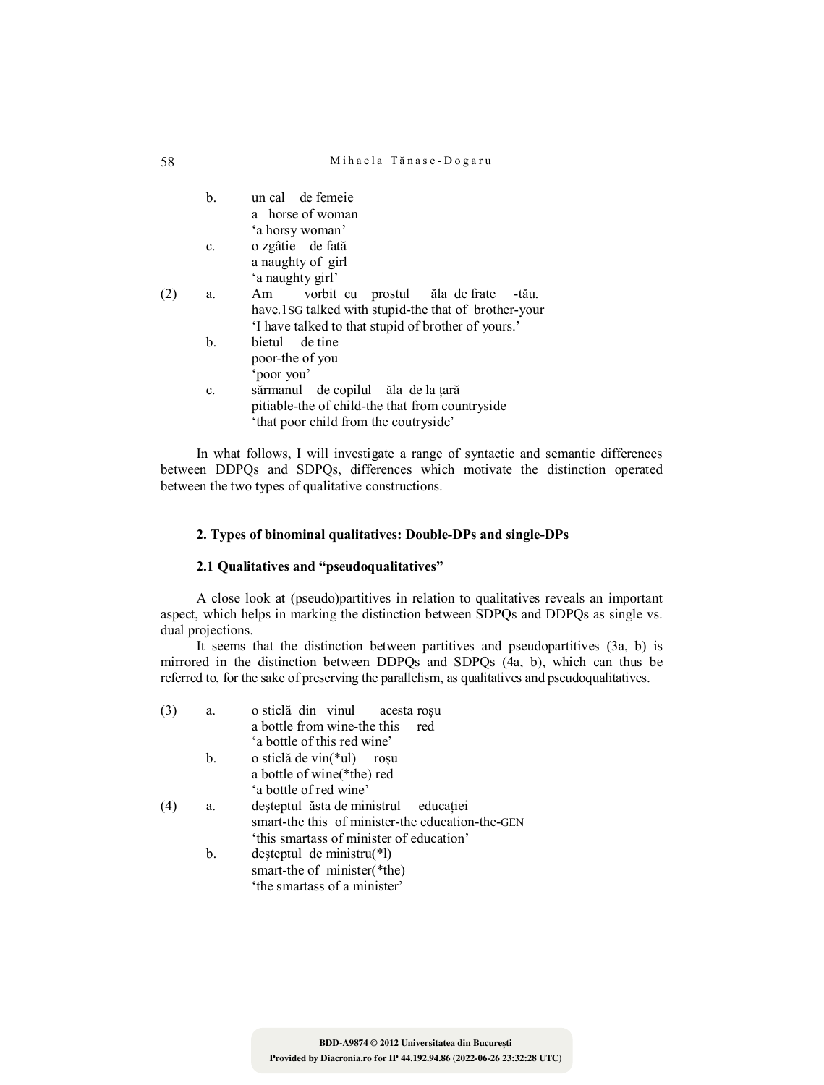|     | b.             | un cal de femeie<br>a horse of woman                 |
|-----|----------------|------------------------------------------------------|
|     |                | 'a horsy woman'                                      |
|     | c.             | o zgâtie de fată                                     |
|     |                | a naughty of girl                                    |
|     |                | 'a naughty girl'                                     |
| (2) | a.             | vorbit cu prostul ăla de frate -tău.<br>Am           |
|     |                | have 1SG talked with stupid-the that of brother-your |
|     |                | I have talked to that stupid of brother of yours.    |
|     | $\mathbf{b}$ . | bietul de tine                                       |
|     |                | poor-the of you                                      |
|     |                | 'poor you'                                           |
|     | C.             | sărmanul de copilul ăla de la țară                   |
|     |                | pitiable-the of child-the that from countryside      |
|     |                | 'that poor child from the coutryside'                |
|     |                |                                                      |

In what follows, I will investigate a range of syntactic and semantic differences between DDPQs and SDPQs, differences which motivate the distinction operated between the two types of qualitative constructions.

# **2. Types of binominal qualitatives: Double-DPs and single-DPs**

# **2.1 Qualitatives and "pseudoqualitatives"**

A close look at (pseudo)partitives in relation to qualitatives reveals an important aspect, which helps in marking the distinction between SDPQs and DDPQs as single vs. dual projections.

It seems that the distinction between partitives and pseudopartitives (3a, b) is mirrored in the distinction between DDPQs and SDPQs (4a, b), which can thus be referred to, for the sake of preserving the parallelism, as qualitatives and pseudoqualitatives.

| (3) | a. | o sticlă din vinul<br>acesta rosu                |
|-----|----|--------------------------------------------------|
|     |    | a bottle from wine-the this<br>red               |
|     |    | 'a bottle of this red wine'                      |
|     | b. | o sticlă de vin $(*ul)$ roșu                     |
|     |    | a bottle of wine (*the) red                      |
|     |    | 'a bottle of red wine'                           |
| (4) | a. | deșteptul ăsta de ministrul educației            |
|     |    | smart-the this of minister-the education-the-GEN |
|     |    | 'this smartass of minister of education'         |
|     | b. | deșteptul de ministru(*1)                        |
|     |    | smart-the of minister(*the)                      |
|     |    | 'the smartass of a minister'                     |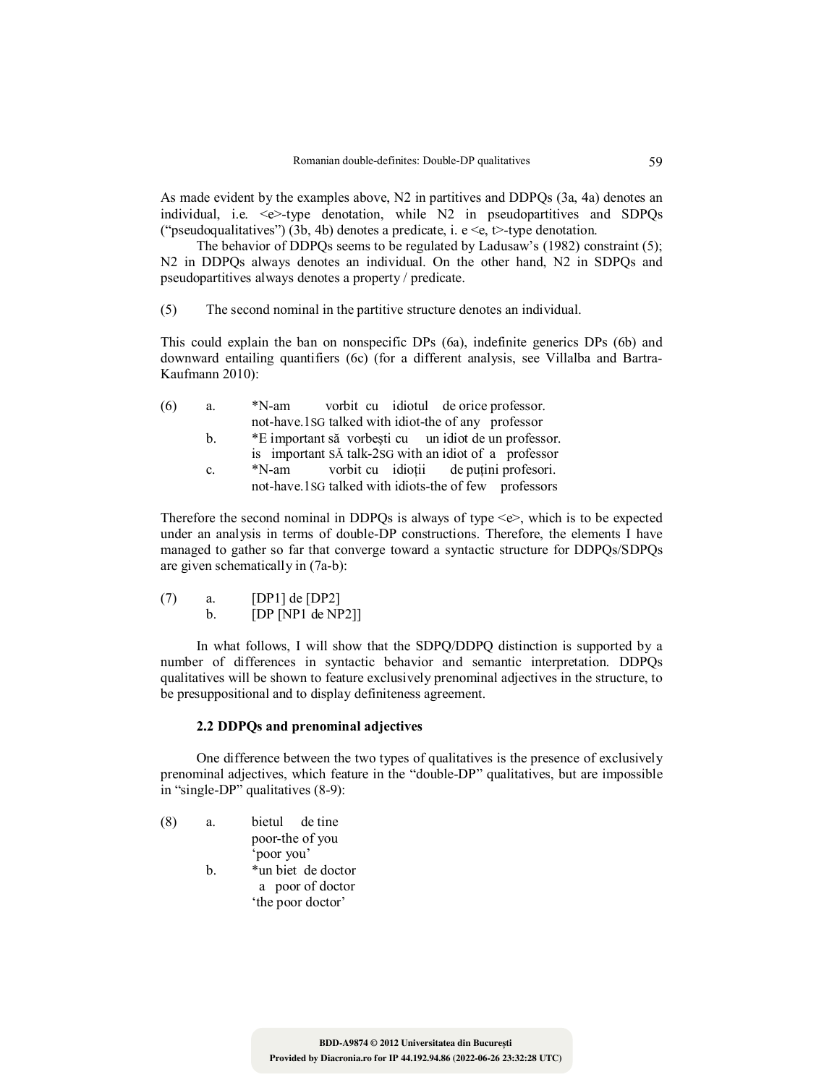As made evident by the examples above, N2 in partitives and DDPQs (3a, 4a) denotes an individual, i.e.  $\leq e$  -type denotation, while N2 in pseudopartitives and SDPQs ("pseudoqualitatives") (3b, 4b) denotes a predicate, i. e  $\leq e$ , t $\geq$ -type denotation.

The behavior of DDPQs seems to be regulated by Ladusaw's (1982) constraint (5); N2 in DDPQs always denotes an individual. On the other hand, N2 in SDPQs and pseudopartitives always denotes a property / predicate.

(5) The second nominal in the partitive structure denotes an individual.

This could explain the ban on nonspecific DPs (6a), indefinite generics DPs (6b) and downward entailing quantifiers (6c) (for a different analysis, see Villalba and Bartra-Kaufmann 2010):

| (6) | a.             | vorbit cu idiotul de orice professor.<br>*N-am        |
|-----|----------------|-------------------------------------------------------|
|     |                | not-have.1sG talked with idiot-the of any professor   |
|     | $\mathbf{b}$ . | *E important să vorbești cu un idiot de un professor. |
|     |                | is important SA talk-2sG with an idiot of a professor |
|     | $\mathbf{c}$ . | vorbit cu idioții de puțini profesori.<br>*N-am       |
|     |                | not-have.1sG talked with idiots-the of few professors |

Therefore the second nominal in DDPQs is always of type  $\ll$ , which is to be expected under an analysis in terms of double-DP constructions. Therefore, the elements I have managed to gather so far that converge toward a syntactic structure for DDPQs/SDPQs are given schematically in (7a-b):

| (7) | $[DP1]$ de $[DP2]$ |
|-----|--------------------|
|     | [DP[NP1 de NP2]]   |

In what follows, I will show that the SDPQ/DDPQ distinction is supported by a number of differences in syntactic behavior and semantic interpretation. DDPQs qualitatives will be shown to feature exclusively prenominal adjectives in the structure, to be presuppositional and to display definiteness agreement.

# **2.2 DDPQs and prenominal adjectives**

One difference between the two types of qualitatives is the presence of exclusively prenominal adjectives, which feature in the "double-DP" qualitatives, but are impossible in "single-DP" qualitatives (8-9):

- (8) a. bietul de tine poor-the of you 'poor you'
	- b. \*un biet de doctor a poor of doctor 'the poor doctor'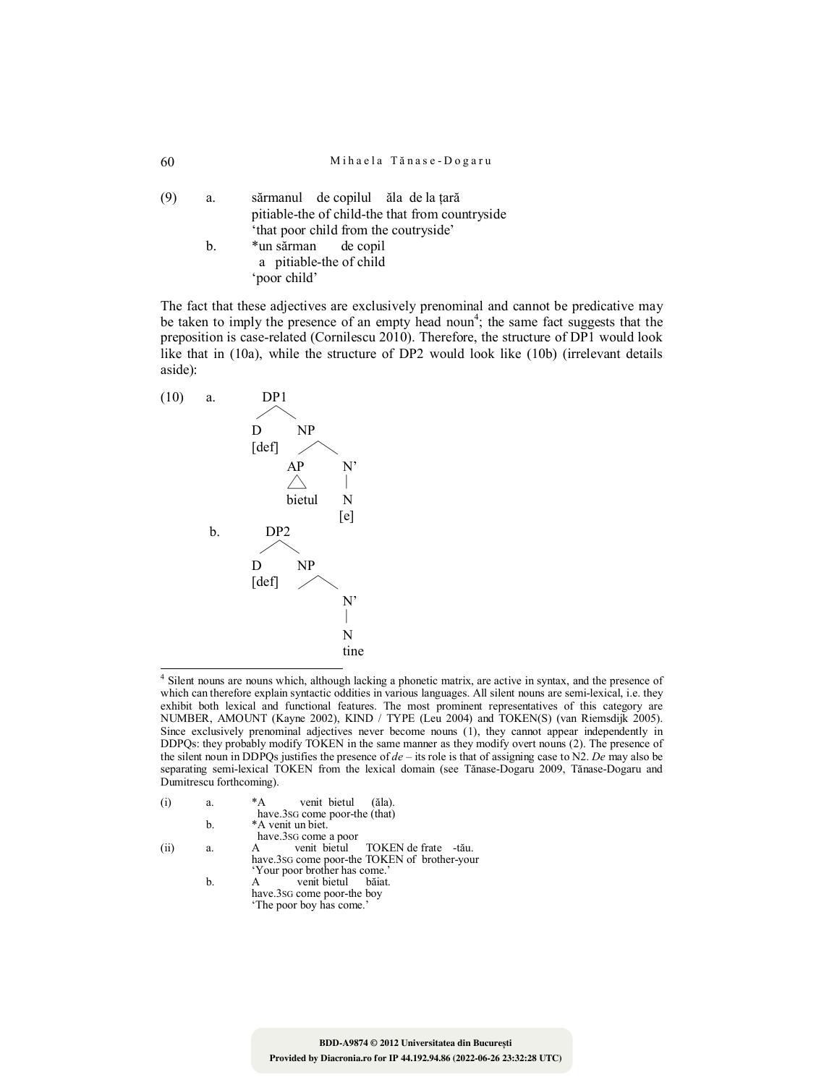(9) a. sărmanul de copilul ăla de la ţară pitiable-the of child-the that from countryside 'that poor child from the coutryside' b. \*un sărman de copil a pitiable-the of child 'poor child'

The fact that these adjectives are exclusively prenominal and cannot be predicative may be taken to imply the presence of an empty head noun<sup>4</sup>; the same fact suggests that the preposition is case-related (Cornilescu 2010). Therefore, the structure of DP1 would look like that in (10a), while the structure of DP2 would look like (10b) (irrelevant details aside):



 4 Silent nouns are nouns which, although lacking a phonetic matrix, are active in syntax, and the presence of which can therefore explain syntactic oddities in various languages. All silent nouns are semi-lexical, i.e. they exhibit both lexical and functional features. The most prominent representatives of this category are NUMBER, AMOUNT (Kayne 2002), KIND / TYPE (Leu 2004) and TOKEN(S) (van Riemsdijk 2005). Since exclusively prenominal adjectives never become nouns (1), they cannot appear independently in DDPQs: they probably modify TOKEN in the same manner as they modify overt nouns (2). The presence of the silent noun in DDPQs justifies the presence of *de* – its role is that of assigning case to N2. *De* may also be separating semi-lexical TOKEN from the lexical domain (see Tănase-Dogaru 2009, Tănase-Dogaru and Dumitrescu forthcoming).

| (1)  | a. | venit bietul<br>*A<br>$(\text{ăla}).$<br>have.3sG come poor-the (that) |
|------|----|------------------------------------------------------------------------|
|      | b. | *A venit un biet.                                                      |
|      |    | have.3sG come a poor                                                   |
| (ii) | a. | venit bietul TOKEN de frate -tău.                                      |
|      |    | have 3sg come poor-the TOKEN of brother-your                           |
|      |    | 'Your poor brother has come.'                                          |
|      |    |                                                                        |
|      | b. | venit bietul<br>băiat.                                                 |
|      |    | have.3sG come poor-the boy                                             |
|      |    | 'The poor boy has come.'                                               |
|      |    |                                                                        |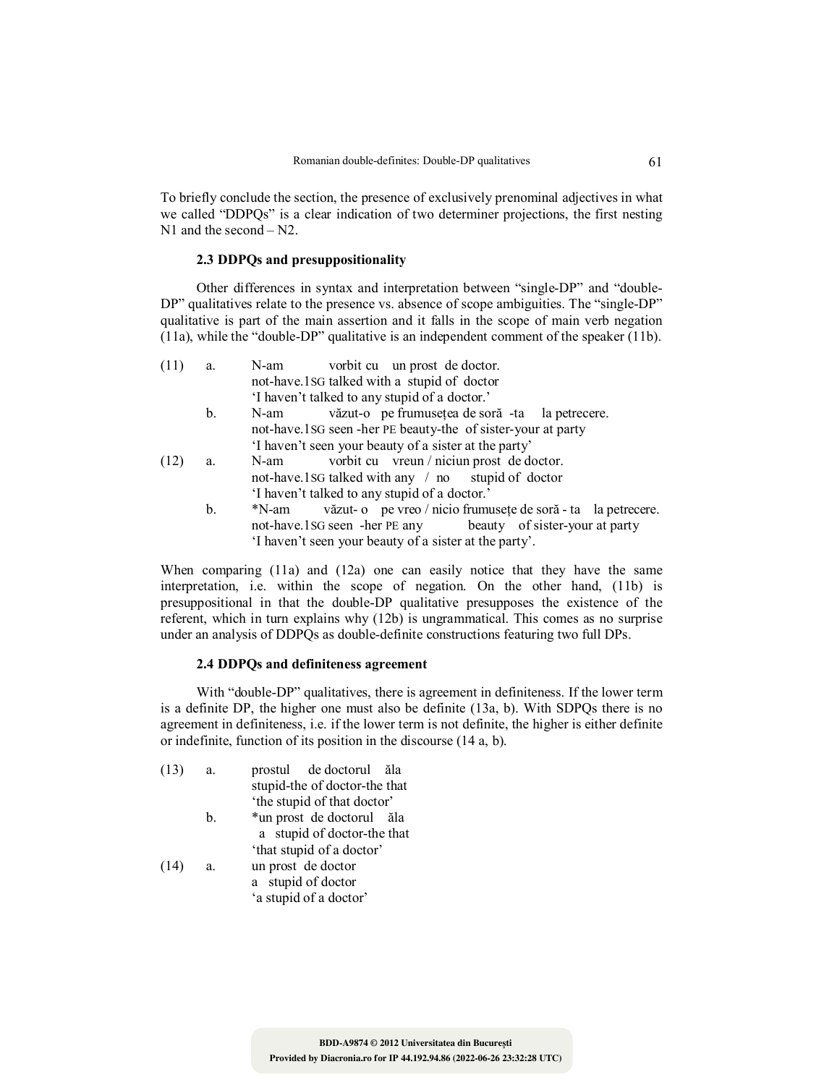To briefly conclude the section, the presence of exclusively prenominal adjectives in what we called "DDPQs" is a clear indication of two determiner projections, the first nesting N<sub>1</sub> and the second – N<sub>2</sub>.

# **2.3 DDPQs and presuppositionality**

Other differences in syntax and interpretation between "single-DP" and "double-DP" qualitatives relate to the presence vs. absence of scope ambiguities. The "single-DP" qualitative is part of the main assertion and it falls in the scope of main verb negation (11a), while the "double-DP" qualitative is an independent comment of the speaker (11b).

| (11) | a.             | N-am vorbit cu un prost de doctor.                                  |
|------|----------------|---------------------------------------------------------------------|
|      |                | not-have.1sG talked with a stupid of doctor                         |
|      |                | 'I haven't talked to any stupid of a doctor.'                       |
|      | $\mathbf{b}$ . | văzut-o pe frumusețea de soră -ta la petrecere.<br>N-am             |
|      |                | not-have.1sG seen -her PE beauty-the of sister-your at party        |
|      |                | 'I haven't seen your beauty of a sister at the party'               |
| (12) | a.             | vorbit cu vreun / niciun prost de doctor.<br>N-am                   |
|      |                | not-have 1 SG talked with any $\pi$ no stupid of doctor             |
|      |                | 'I haven't talked to any stupid of a doctor.'                       |
|      | b.             | *N-am văzut- o pe vreo / nicio frumusețe de soră - ta la petrecere. |
|      |                | not-have.1sG seen -her PE any beauty of sister-your at party        |
|      |                | I haven't seen your beauty of a sister at the party'.               |
|      |                |                                                                     |

When comparing (11a) and (12a) one can easily notice that they have the same interpretation, i.e. within the scope of negation. On the other hand, (11b) is presuppositional in that the double-DP qualitative presupposes the existence of the referent, which in turn explains why (12b) is ungrammatical. This comes as no surprise under an analysis of DDPQs as double-definite constructions featuring two full DPs.

# **2.4 DDPQs and definiteness agreement**

With "double-DP" qualitatives, there is agreement in definiteness. If the lower term is a definite DP, the higher one must also be definite (13a, b). With SDPQs there is no agreement in definiteness, i.e. if the lower term is not definite, the higher is either definite or indefinite, function of its position in the discourse (14 a, b).

| (13) | a. | prostul de doctorul ăla       |
|------|----|-------------------------------|
|      |    | stupid-the of doctor-the that |
|      |    | 'the stupid of that doctor'   |
|      | b. | *un prost de doctorul ăla     |
|      |    | a stupid of doctor-the that   |
|      |    | 'that stupid of a doctor'     |
| (14) | a. | un prost de doctor            |
|      |    | a stupid of doctor            |
|      |    | 'a stupid of a doctor'        |
|      |    |                               |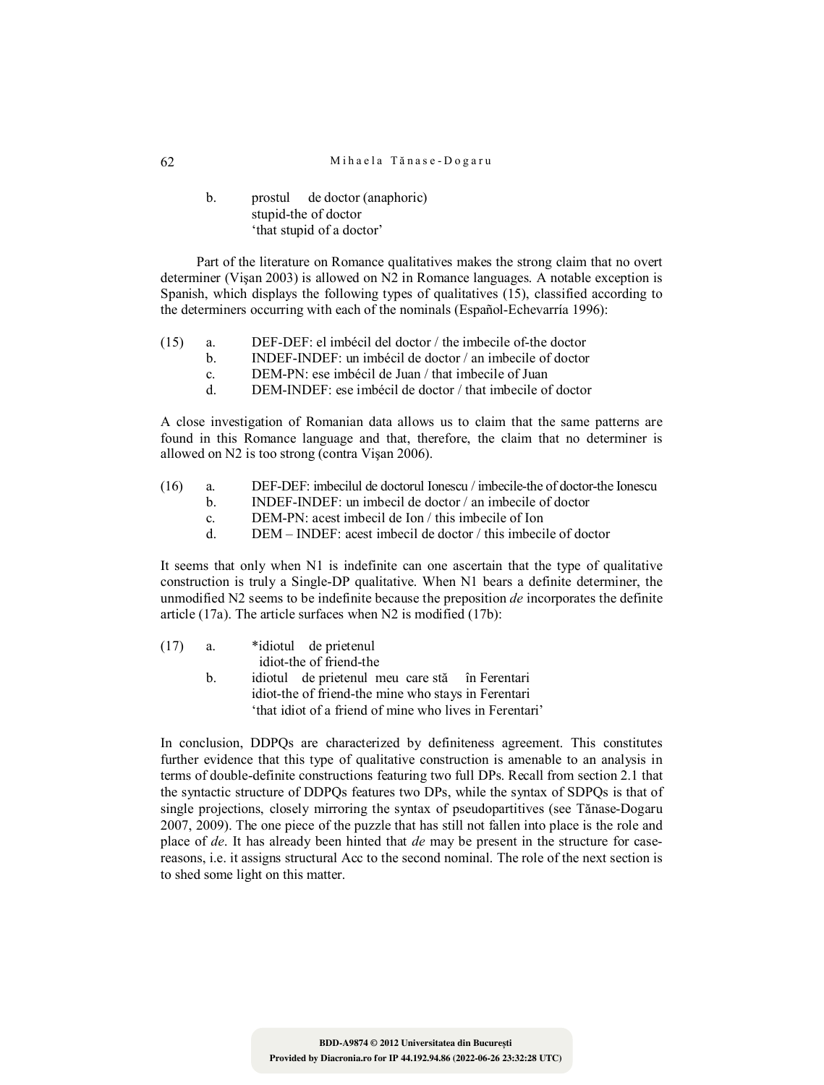## 62 Mihaela Tănase-Dogaru

# b. prostul de doctor (anaphoric) stupid-the of doctor 'that stupid of a doctor'

Part of the literature on Romance qualitatives makes the strong claim that no overt determiner (Vişan 2003) is allowed on N2 in Romance languages. A notable exception is Spanish, which displays the following types of qualitatives (15), classified according to the determiners occurring with each of the nominals (Español-Echevarría 1996):

- (15) a. DEF-DEF: el imbécil del doctor / the imbecile of-the doctor
	- b. INDEF-INDEF: un imbécil de doctor / an imbecile of doctor
	- c. DEM-PN: ese imbécil de Juan / that imbecile of Juan
	- d. DEM-INDEF: ese imbécil de doctor / that imbecile of doctor

A close investigation of Romanian data allows us to claim that the same patterns are found in this Romance language and that, therefore, the claim that no determiner is allowed on N2 is too strong (contra Vişan 2006).

- (16) a. DEF-DEF: imbecilul de doctorul Ionescu / imbecile-the of doctor-the Ionescu
	- b. INDEF-INDEF: un imbecil de doctor / an imbecile of doctor
	- c. DEM-PN: acest imbecil de Ion / this imbecile of Ion
	- d. DEM INDEF: acest imbecil de doctor / this imbecile of doctor

It seems that only when N1 is indefinite can one ascertain that the type of qualitative construction is truly a Single-DP qualitative. When N1 bears a definite determiner, the unmodified N2 seems to be indefinite because the preposition *de* incorporates the definite article (17a). The article surfaces when N2 is modified (17b):

| (17) | а. | *idiotul de prietenul                                   |
|------|----|---------------------------------------------------------|
|      |    | idiot-the of friend-the                                 |
|      | h. | idiotul de prietenul meu care stă în Ferentari          |
|      |    | idiot-the of friend-the mine who stays in Ferentari     |
|      |    | 'that idiot of a friend of mine who lives in Ferentari' |

In conclusion, DDPQs are characterized by definiteness agreement. This constitutes further evidence that this type of qualitative construction is amenable to an analysis in terms of double-definite constructions featuring two full DPs. Recall from section 2.1 that the syntactic structure of DDPQs features two DPs, while the syntax of SDPQs is that of single projections, closely mirroring the syntax of pseudopartitives (see Tănase-Dogaru 2007, 2009). The one piece of the puzzle that has still not fallen into place is the role and place of *de*. It has already been hinted that *de* may be present in the structure for casereasons, i.e. it assigns structural Acc to the second nominal. The role of the next section is to shed some light on this matter.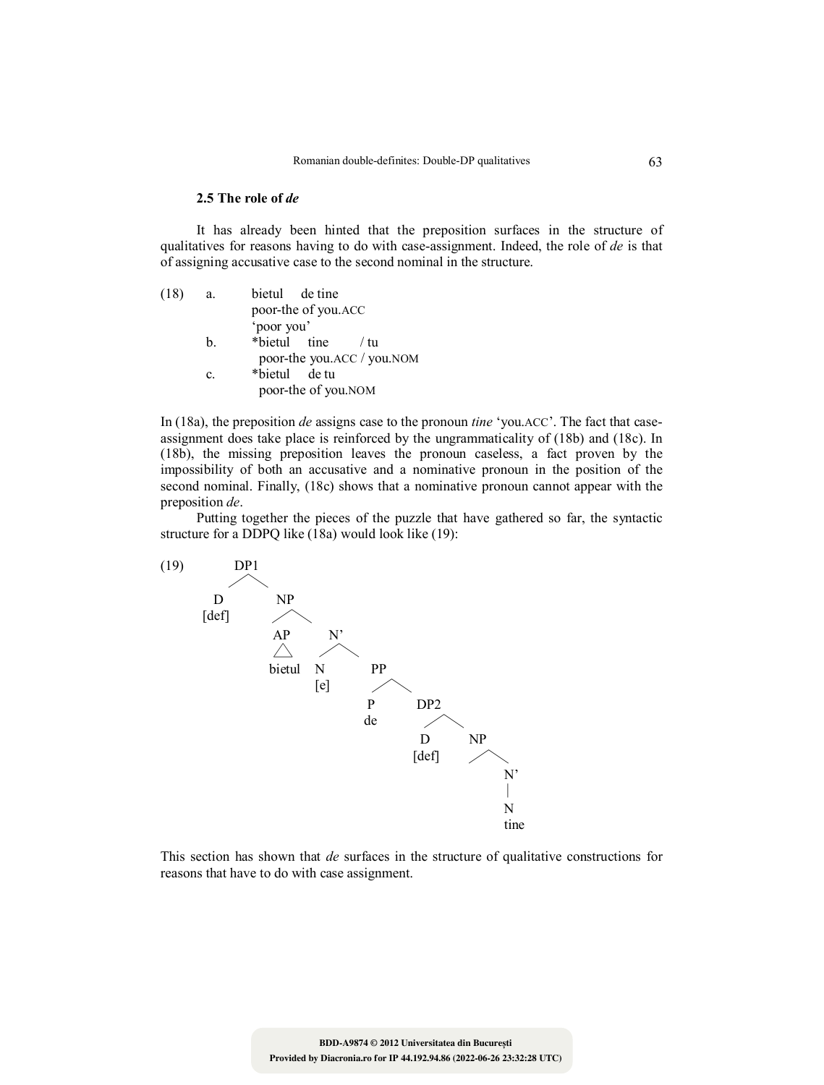# **2.5 The role of** *de*

It has already been hinted that the preposition surfaces in the structure of qualitatives for reasons having to do with case-assignment. Indeed, the role of *de* is that of assigning accusative case to the second nominal in the structure.

| (18) | a.             | bietul de tine             |
|------|----------------|----------------------------|
|      |                | poor-the of you.ACC        |
|      |                | 'poor you'                 |
|      | $\mathbf{b}$ . | *bietul tine<br>- / fu     |
|      |                | poor-the you.ACC / you.NOM |
|      | $\mathbf{c}$ . | *bietul de tu              |
|      |                | poor-the of you.NOM        |
|      |                |                            |

In (18a), the preposition *de* assigns case to the pronoun *tine* 'you.ACC'. The fact that caseassignment does take place is reinforced by the ungrammaticality of (18b) and (18c). In (18b), the missing preposition leaves the pronoun caseless, a fact proven by the impossibility of both an accusative and a nominative pronoun in the position of the second nominal. Finally, (18c) shows that a nominative pronoun cannot appear with the preposition *de*.

Putting together the pieces of the puzzle that have gathered so far, the syntactic structure for a DDPQ like (18a) would look like (19):



This section has shown that *de* surfaces in the structure of qualitative constructions for reasons that have to do with case assignment.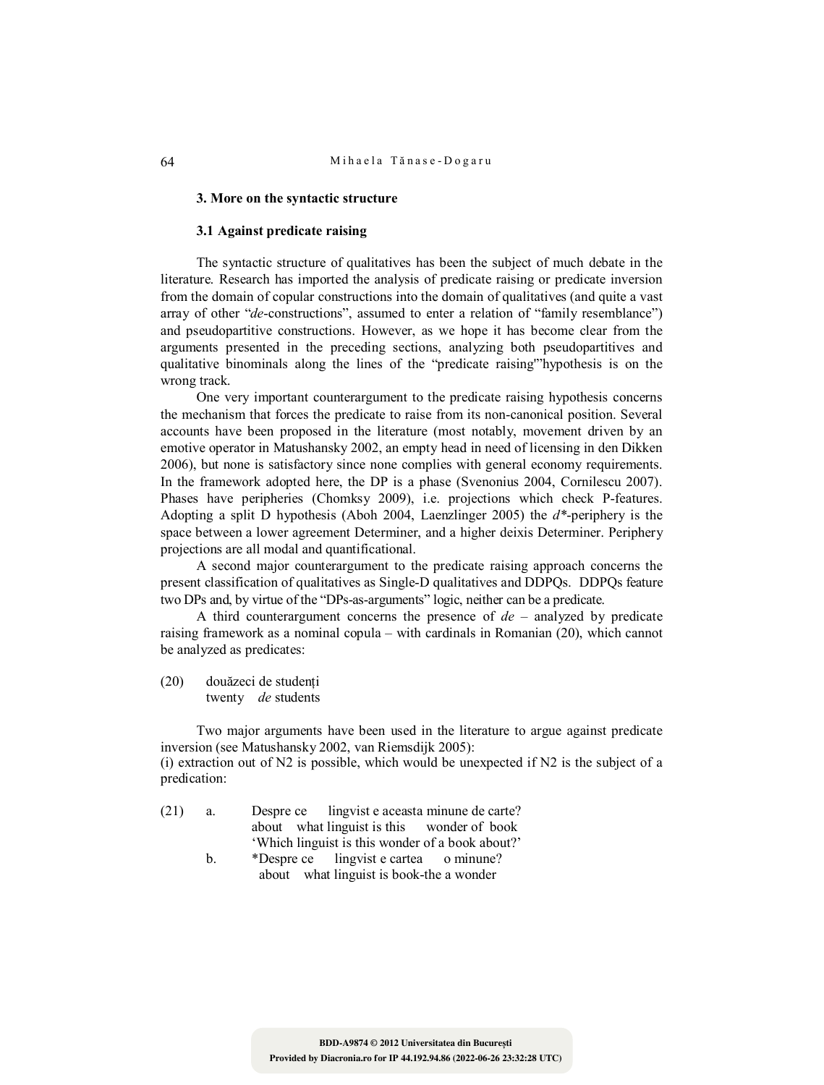### **3. More on the syntactic structure**

### **3.1 Against predicate raising**

The syntactic structure of qualitatives has been the subject of much debate in the literature. Research has imported the analysis of predicate raising or predicate inversion from the domain of copular constructions into the domain of qualitatives (and quite a vast array of other "*de*-constructions", assumed to enter a relation of "family resemblance") and pseudopartitive constructions. However, as we hope it has become clear from the arguments presented in the preceding sections, analyzing both pseudopartitives and qualitative binominals along the lines of the "predicate raising'"hypothesis is on the wrong track.

One very important counterargument to the predicate raising hypothesis concerns the mechanism that forces the predicate to raise from its non-canonical position. Several accounts have been proposed in the literature (most notably, movement driven by an emotive operator in Matushansky 2002, an empty head in need of licensing in den Dikken 2006), but none is satisfactory since none complies with general economy requirements. In the framework adopted here, the DP is a phase (Svenonius 2004, Cornilescu 2007). Phases have peripheries (Chomksy 2009), i.e. projections which check P-features. Adopting a split D hypothesis (Aboh 2004, Laenzlinger 2005) the *d\**-periphery is the space between a lower agreement Determiner, and a higher deixis Determiner. Periphery projections are all modal and quantificational.

A second major counterargument to the predicate raising approach concerns the present classification of qualitatives as Single-D qualitatives and DDPQs. DDPQs feature two DPs and, by virtue of the "DPs-as-arguments" logic, neither can be a predicate.

A third counterargument concerns the presence of *de* – analyzed by predicate raising framework as a nominal copula – with cardinals in Romanian (20), which cannot be analyzed as predicates:

(20) douăzeci de studenţi twenty *de* students

Two major arguments have been used in the literature to argue against predicate inversion (see Matushansky 2002, van Riemsdijk 2005): (i) extraction out of  $N2$  is possible, which would be unexpected if  $N2$  is the subject of a predication:

- (21) a. Despre ce lingvist e aceasta minune de carte? about what linguist is this wonder of book 'Which linguist is this wonder of a book about?'
	- b. \*Despre ce lingvist e cartea o minune? about what linguist is book-the a wonder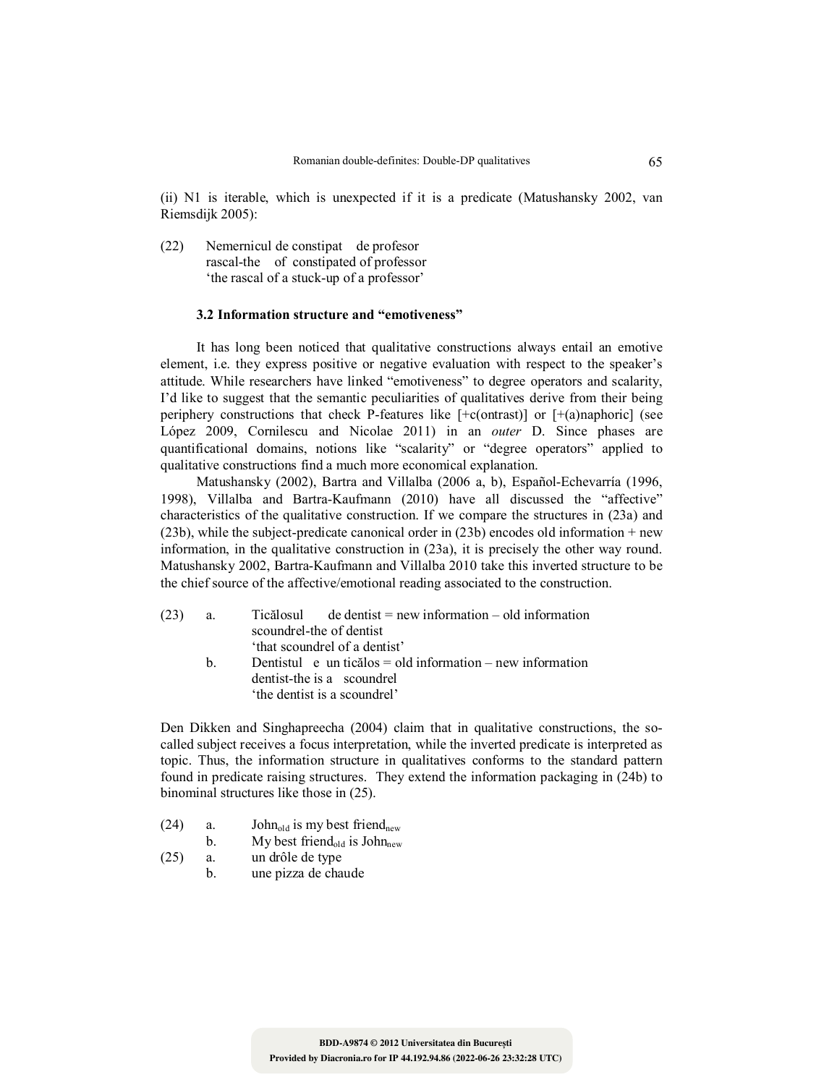(ii) N1 is iterable, which is unexpected if it is a predicate (Matushansky 2002, van Riemsdijk 2005):

(22) Nemernicul de constipat de profesor rascal-the of constipated of professor 'the rascal of a stuck-up of a professor'

## **3.2 Information structure and "emotiveness"**

It has long been noticed that qualitative constructions always entail an emotive element, i.e. they express positive or negative evaluation with respect to the speaker's attitude. While researchers have linked "emotiveness" to degree operators and scalarity, I'd like to suggest that the semantic peculiarities of qualitatives derive from their being periphery constructions that check P-features like [+c(ontrast)] or [+(a)naphoric] (see López 2009, Cornilescu and Nicolae 2011) in an *outer* D. Since phases are quantificational domains, notions like "scalarity" or "degree operators" applied to qualitative constructions find a much more economical explanation.

Matushansky (2002), Bartra and Villalba (2006 a, b), Español-Echevarría (1996, 1998), Villalba and Bartra-Kaufmann (2010) have all discussed the "affective" characteristics of the qualitative construction. If we compare the structures in (23a) and (23b), while the subject-predicate canonical order in (23b) encodes old information + new information, in the qualitative construction in (23a), it is precisely the other way round. Matushansky 2002, Bartra-Kaufmann and Villalba 2010 take this inverted structure to be the chief source of the affective/emotional reading associated to the construction.

| (23) | a. | $Ticălosul$ de dentist = new information – old information |
|------|----|------------------------------------------------------------|
|      |    | scoundrel-the of dentist                                   |
|      |    | 'that scoundrel of a dentist'                              |
|      | h. | Dentistul e un ticălos = old information – new information |
|      |    | dentist-the is a scoundrel                                 |
|      |    | 'the dentist is a scoundrel'                               |

Den Dikken and Singhapreecha (2004) claim that in qualitative constructions, the socalled subject receives a focus interpretation, while the inverted predicate is interpreted as topic. Thus, the information structure in qualitatives conforms to the standard pattern found in predicate raising structures. They extend the information packaging in (24b) to binominal structures like those in (25).

- (24) a. John<sub>old</sub> is my best friend<sub>new</sub>
	- b. My best friend<sub>old</sub> is John<sub>new</sub>
- (25) a. un drôle de type
- b. une pizza de chaude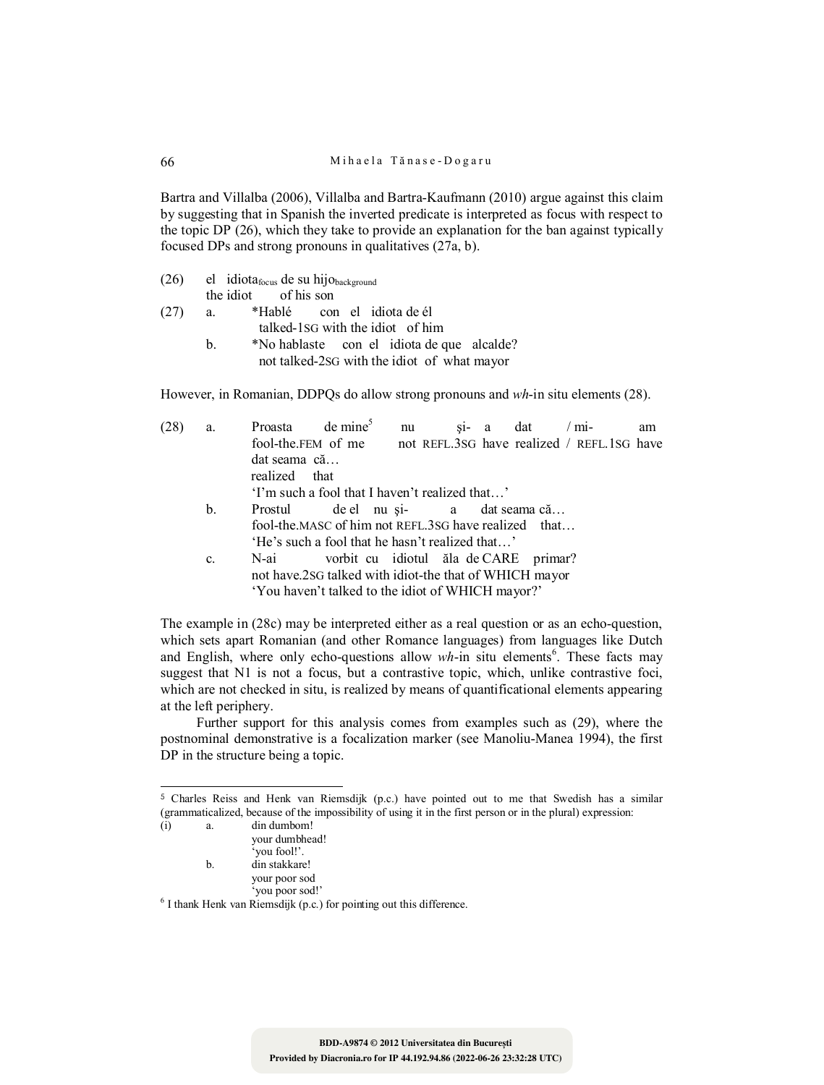Bartra and Villalba (2006), Villalba and Bartra-Kaufmann (2010) argue against this claim by suggesting that in Spanish the inverted predicate is interpreted as focus with respect to the topic DP (26), which they take to provide an explanation for the ban against typically focused DPs and strong pronouns in qualitatives (27a, b).

- (26) el idiota<sub>focus</sub> de su hijo<sub>background</sub><br>the idiot of his son of his son
- (27) a. \*Hablé con el idiota de él talked-1SG with the idiot of him
	- b. \*No hablaste con el idiota de que alcalde? not talked-2SG with the idiot of what mayor

However, in Romanian, DDPQs do allow strong pronouns and *wh*-in situ elements (28).

| (28) | a.             | Proasta      | $de$ mine <sup>5</sup>                                 | nu |                                | $\sin$ a | dat | $/mi-$                                     | am |
|------|----------------|--------------|--------------------------------------------------------|----|--------------------------------|----------|-----|--------------------------------------------|----|
|      |                |              | fool-the.FEM of me                                     |    |                                |          |     | not REFL.3SG have realized / REFL.1SG have |    |
|      |                | dat seama că |                                                        |    |                                |          |     |                                            |    |
|      |                | realized     | that                                                   |    |                                |          |     |                                            |    |
|      |                |              | 'I'm such a fool that I haven't realized that'         |    |                                |          |     |                                            |    |
|      | b.             | Prostul      |                                                        |    | de el nu și-<br>a dat seama că |          |     |                                            |    |
|      |                |              | fool-the.MASC of him not REFL.3SG have realized that   |    |                                |          |     |                                            |    |
|      |                |              | 'He's such a fool that he hasn't realized that'        |    |                                |          |     |                                            |    |
|      | $\mathbf{c}$ . | N-ai         | vorbit cu idiotul ăla de CARE primar?                  |    |                                |          |     |                                            |    |
|      |                |              | not have.2sG talked with idiot-the that of WHICH mayor |    |                                |          |     |                                            |    |
|      |                |              | 'You haven't talked to the idiot of WHICH mayor?'      |    |                                |          |     |                                            |    |
|      |                |              |                                                        |    |                                |          |     |                                            |    |

The example in (28c) may be interpreted either as a real question or as an echo-question, which sets apart Romanian (and other Romance languages) from languages like Dutch and English, where only echo-questions allow wh-in situ elements<sup>6</sup>. These facts may suggest that N1 is not a focus, but a contrastive topic, which, unlike contrastive foci, which are not checked in situ, is realized by means of quantificational elements appearing at the left periphery.

Further support for this analysis comes from examples such as (29), where the postnominal demonstrative is a focalization marker (see Manoliu-Manea 1994), the first DP in the structure being a topic.

<sup>5</sup> Charles Reiss and Henk van Riemsdijk (p.c.) have pointed out to me that Swedish has a similar (grammaticalized, because of the impossibility of using it in the first person or in the plural) expression:

| $\rm(i)$ | a.  | din dumbom!                                                             |  |
|----------|-----|-------------------------------------------------------------------------|--|
|          |     | your dumbhead!                                                          |  |
|          |     | 'you fool!'.                                                            |  |
|          | $b$ | din stakkare!                                                           |  |
|          |     | your poor sod                                                           |  |
|          |     | 'you poor sod!'                                                         |  |
|          |     | $6$ I thank Henk van Riemsdijk (p.c.) for pointing out this difference. |  |

 $\overline{a}$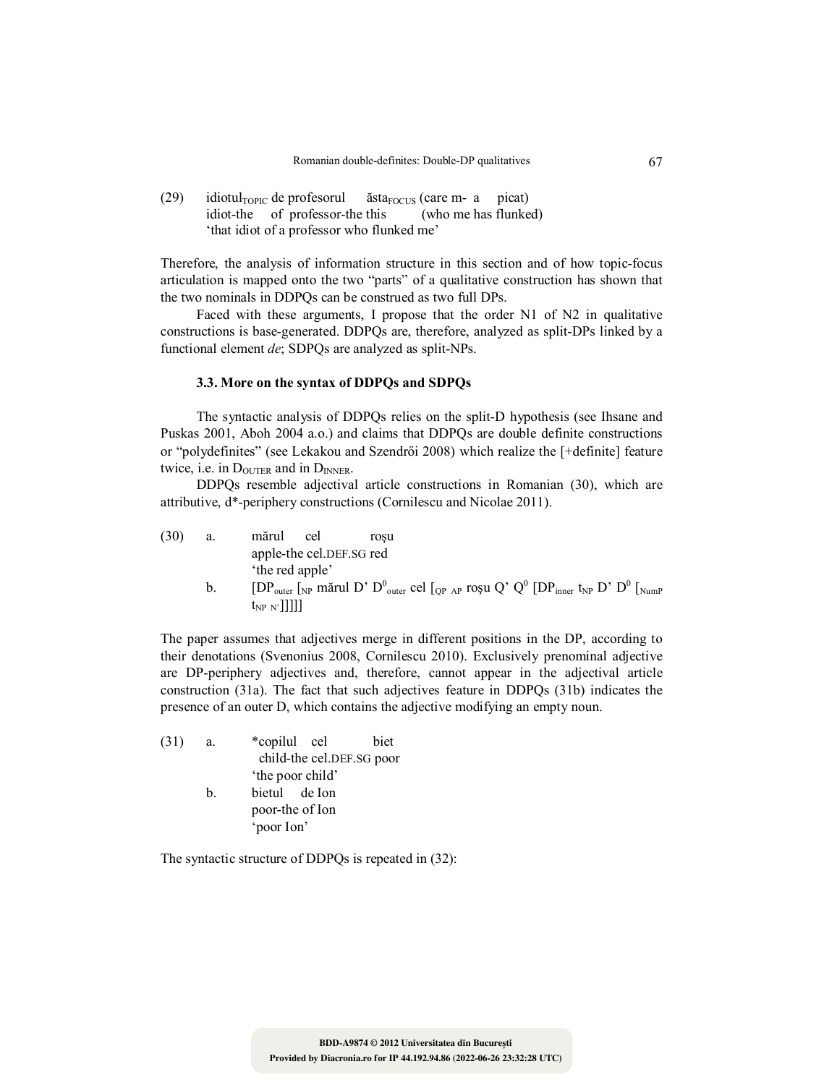(29) idiotul<sub>TOPIC</sub> de profesorul  $\check{\text{ast}}a_{\text{FOCUS}}$  (care m- a picat)<br>idiot-the of professor-the this (who me has flunked) idiot-the of professor-the this 'that idiot of a professor who flunked me'

Therefore, the analysis of information structure in this section and of how topic-focus articulation is mapped onto the two "parts" of a qualitative construction has shown that the two nominals in DDPQs can be construed as two full DPs.

Faced with these arguments, I propose that the order N1 of N2 in qualitative constructions is base-generated. DDPQs are, therefore, analyzed as split-DPs linked by a functional element *de*; SDPQs are analyzed as split-NPs.

# **3.3. More on the syntax of DDPQs and SDPQs**

The syntactic analysis of DDPQs relies on the split-D hypothesis (see Ihsane and Puskas 2001, Aboh 2004 a.o.) and claims that DDPQs are double definite constructions or "polydefinites" (see Lekakou and Szendrői 2008) which realize the [+definite] feature twice, i.e. in  $D_{\text{OUTER}}$  and in  $D_{\text{INNER}}$ .

DDPQs resemble adjectival article constructions in Romanian (30), which are attributive, d\*-periphery constructions (Cornilescu and Nicolae 2011).

| (30) | a.      | mărul<br>cel             | rosu |  |                                                                                                                                                                       |  |
|------|---------|--------------------------|------|--|-----------------------------------------------------------------------------------------------------------------------------------------------------------------------|--|
|      |         | apple-the cel.DEF.SG red |      |  |                                                                                                                                                                       |  |
|      |         | the red apple'           |      |  |                                                                                                                                                                       |  |
|      | $b_{1}$ |                          |      |  | $[DP_{outer}$ [NP mărul D' D <sup>0</sup> <sub>outer</sub> cel [ <sub>QP AP</sub> roșu Q' Q <sup>0</sup> [DP <sub>inner</sub> t <sub>NP</sub> D' D <sup>0</sup> [NumP |  |
|      |         | $t_{NP N'}$ ]]]]         |      |  |                                                                                                                                                                       |  |

The paper assumes that adjectives merge in different positions in the DP, according to their denotations (Svenonius 2008, Cornilescu 2010). Exclusively prenominal adjective are DP-periphery adjectives and, therefore, cannot appear in the adjectival article construction (31a). The fact that such adjectives feature in DDPQs (31b) indicates the presence of an outer D, which contains the adjective modifying an empty noun.

| (31) | a. | *copilul cel              | biet |  |
|------|----|---------------------------|------|--|
|      |    | child-the cel.DEF.SG poor |      |  |
|      |    | 'the poor child'          |      |  |
|      | b. | bietul de Ion             |      |  |
|      |    | poor-the of Ion           |      |  |
|      |    | 'poor Ion'                |      |  |

The syntactic structure of DDPQs is repeated in (32):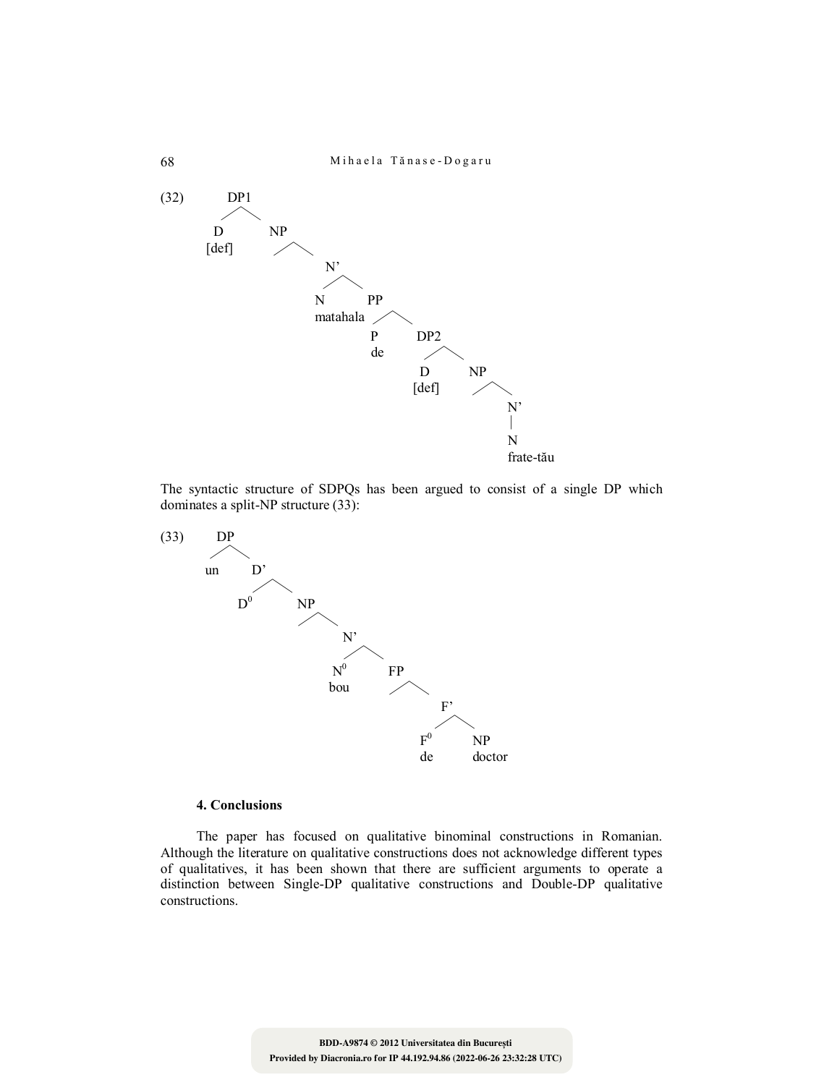

The syntactic structure of SDPQs has been argued to consist of a single DP which dominates a split-NP structure (33):



## **4. Conclusions**

The paper has focused on qualitative binominal constructions in Romanian. Although the literature on qualitative constructions does not acknowledge different types of qualitatives, it has been shown that there are sufficient arguments to operate a distinction between Single-DP qualitative constructions and Double-DP qualitative constructions.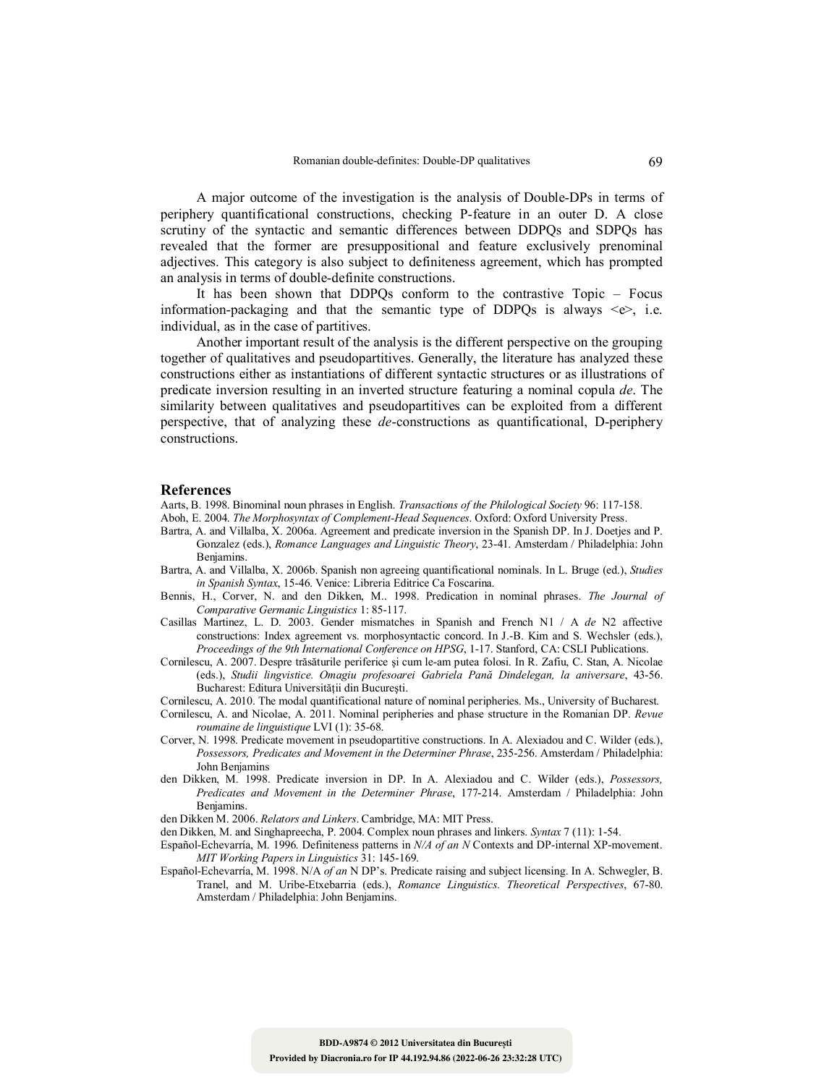A major outcome of the investigation is the analysis of Double-DPs in terms of periphery quantificational constructions, checking P-feature in an outer D. A close scrutiny of the syntactic and semantic differences between DDPQs and SDPQs has revealed that the former are presuppositional and feature exclusively prenominal adjectives. This category is also subject to definiteness agreement, which has prompted an analysis in terms of double-definite constructions.

It has been shown that DDPQs conform to the contrastive Topic – Focus information-packaging and that the semantic type of DDPQs is always  $\langle e \rangle$ , i.e. individual, as in the case of partitives.

Another important result of the analysis is the different perspective on the grouping together of qualitatives and pseudopartitives. Generally, the literature has analyzed these constructions either as instantiations of different syntactic structures or as illustrations of predicate inversion resulting in an inverted structure featuring a nominal copula *de*. The similarity between qualitatives and pseudopartitives can be exploited from a different perspective, that of analyzing these *de*-constructions as quantificational, D-periphery constructions.

#### **References**

- Aarts, B. 1998. Binominal noun phrases in English. *Transactions of the Philological Society* 96: 117-158.
- Aboh, E. 2004. *The Morphosyntax of Complement-Head Sequences*. Oxford: Oxford University Press.
- Bartra, A. and Villalba, X. 2006a. Agreement and predicate inversion in the Spanish DP. In J. Doetjes and P. Gonzalez (eds.), *Romance Languages and Linguistic Theory*, 23-41. Amsterdam / Philadelphia: John Benjamins.
- Bartra, A. and Villalba, X. 2006b. Spanish non agreeing quantificational nominals. In L. Bruge (ed.), *Studies in Spanish Syntax*, 15-46. Venice: Libreria Editrice Ca Foscarina.
- Bennis, H., Corver, N. and den Dikken, M.. 1998. Predication in nominal phrases. *The Journal of Comparative Germanic Linguistics* 1: 85-117.
- Casillas Martinez, L. D. 2003. Gender mismatches in Spanish and French N1 / A *de* N2 affective constructions: Index agreement vs. morphosyntactic concord. In J.-B. Kim and S. Wechsler (eds.), *Proceedings of the 9th International Conference on HPSG*, 1-17. Stanford, CA: CSLI Publications.
- Cornilescu, A. 2007. Despre trăsăturile periferice şi cum le-am putea folosi. In R. Zafiu, C. Stan, A. Nicolae (eds.), *Studii lingvistice. Omagiu profesoarei Gabriela Pană Dindelegan, la aniversare*, 43-56. Bucharest: Editura Universităţii din Bucureşti.
- Cornilescu, A. 2010. The modal quantificational nature of nominal peripheries. Ms., University of Bucharest.
- Cornilescu, A. and Nicolae, A. 2011. Nominal peripheries and phase structure in the Romanian DP. *Revue roumaine de linguistique* LVI (1): 35-68.
- Corver, N. 1998. Predicate movement in pseudopartitive constructions. In A. Alexiadou and C. Wilder (eds.), *Possessors, Predicates and Movement in the Determiner Phrase*, 235-256. Amsterdam / Philadelphia: John Benjamins
- den Dikken, M. 1998. Predicate inversion in DP. In A. Alexiadou and C. Wilder (eds.), *Possessors, Predicates and Movement in the Determiner Phrase*, 177-214. Amsterdam / Philadelphia: John Benjamins.
- den Dikken M. 2006. *Relators and Linkers*. Cambridge, MA: MIT Press.
- den Dikken, M. and Singhapreecha, P. 2004. Complex noun phrases and linkers. *Syntax* 7 (11): 1-54.
- Español-Echevarría, M. 1996. Definiteness patterns in *N/A of an N* Contexts and DP-internal XP-movement. *MIT Working Papers in Linguistics* 31: 145-169.
- Español-Echevarría, M. 1998. N/A *of an* N DP's. Predicate raising and subject licensing. In A. Schwegler, B. Tranel, and M. Uribe-Etxebarria (eds.), *Romance Linguistics. Theoretical Perspectives*, 67-80. Amsterdam / Philadelphia: John Benjamins.